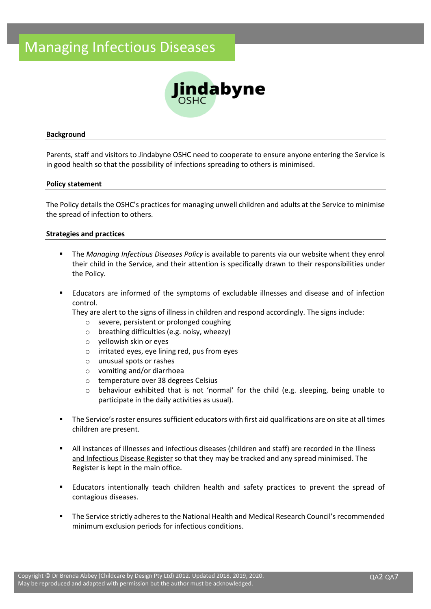# Managing Infectious Diseases



#### **Background**

Parents, staff and visitors to Jindabyne OSHC need to cooperate to ensure anyone entering the Service is in good health so that the possibility of infections spreading to others is minimised.

#### **Policy statement**

The Policy details the OSHC's practices for managing unwell children and adults at the Service to minimise the spread of infection to others.

#### **Strategies and practices**

- The *Managing Infectious Diseases Policy* is available to parents via our website whent they enrol their child in the Service, and their attention is specifically drawn to their responsibilities under the Policy.
- Educators are informed of the symptoms of excludable illnesses and disease and of infection control.

They are alert to the signs of illness in children and respond accordingly. The signs include:

- o severe, persistent or prolonged coughing
- o breathing difficulties (e.g. noisy, wheezy)
- o yellowish skin or eyes
- o irritated eyes, eye lining red, pus from eyes
- o unusual spots or rashes
- o vomiting and/or diarrhoea
- o temperature over 38 degrees Celsius
- o behaviour exhibited that is not 'normal' for the child (e.g. sleeping, being unable to participate in the daily activities as usual).
- The Service's roster ensures sufficient educators with first aid qualifications are on site at all times children are present.
- All instances of illnesses and infectious diseases (children and staff) are recorded in the Illness and Infectious Disease Register so that they may be tracked and any spread minimised. The Register is kept in the main office.
- Educators intentionally teach children health and safety practices to prevent the spread of contagious diseases.
- **•** The Service strictly adheres to the National Health and Medical Research Council's recommended minimum exclusion periods for infectious conditions.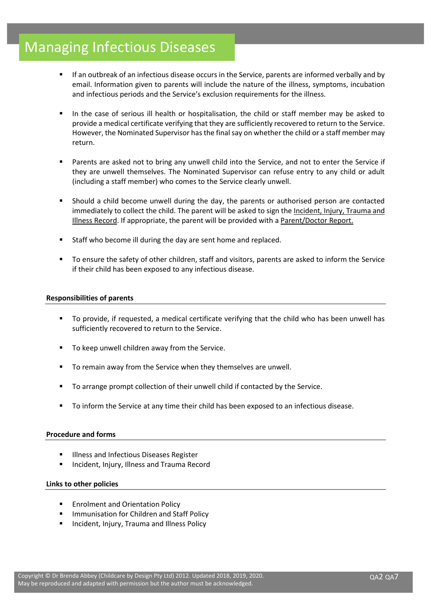# Managing Infectious Diseases

- If an outbreak of an infectious disease occurs in the Service, parents are informed verbally and by email. Information given to parents will include the nature of the illness, symptoms, incubation and infectious periods and the Service's exclusion requirements for the illness.
- In the case of serious ill health or hospitalisation, the child or staff member may be asked to provide a medical certificate verifying that they are sufficiently recovered to return to the Service. However, the Nominated Supervisor has the final say on whether the child or a staff member may return.
- Parents are asked not to bring any unwell child into the Service, and not to enter the Service if they are unwell themselves. The Nominated Supervisor can refuse entry to any child or adult (including a staff member) who comes to the Service clearly unwell.
- Should a child become unwell during the day, the parents or authorised person are contacted immediately to collect the child. The parent will be asked to sign the Incident, Injury, Trauma and Illness Record. If appropriate, the parent will be provided with a Parent/Doctor Report.
- Staff who become ill during the day are sent home and replaced.
- To ensure the safety of other children, staff and visitors, parents are asked to inform the Service if their child has been exposed to any infectious disease.

### **Responsibilities of parents**

- To provide, if requested, a medical certificate verifying that the child who has been unwell has sufficiently recovered to return to the Service.
- To keep unwell children away from the Service.
- To remain away from the Service when they themselves are unwell.
- To arrange prompt collection of their unwell child if contacted by the Service.
- To inform the Service at any time their child has been exposed to an infectious disease.

## **Procedure and forms**

- Illness and Infectious Diseases Register
- Incident, Injury, Illness and Trauma Record

## **Links to other policies**

- Enrolment and Orientation Policy
- Immunisation for Children and Staff Policy
- Incident, Injury, Trauma and Illness Policy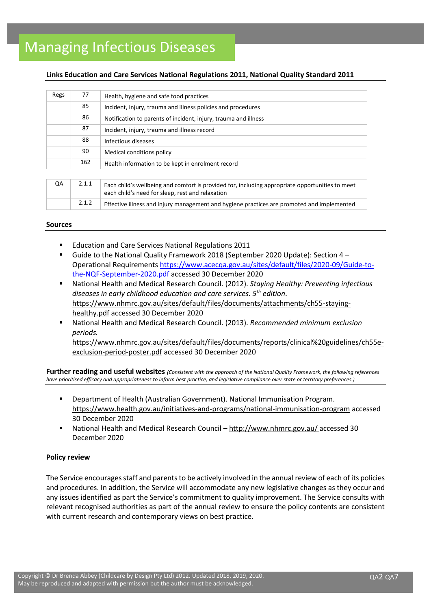# Managing Infectious Diseases

### **Links Education and Care Services National Regulations 2011, National Quality Standard 2011**

| Regs | 77    | Health, hygiene and safe food practices                                                                                                             |
|------|-------|-----------------------------------------------------------------------------------------------------------------------------------------------------|
|      | 85    | Incident, injury, trauma and illness policies and procedures                                                                                        |
|      | 86    | Notification to parents of incident, injury, trauma and illness                                                                                     |
|      | 87    | Incident, injury, trauma and illness record                                                                                                         |
|      | 88    | Infectious diseases                                                                                                                                 |
|      | 90    | Medical conditions policy                                                                                                                           |
|      | 162   | Health information to be kept in enrolment record                                                                                                   |
|      |       |                                                                                                                                                     |
| QA   | 2.1.1 | Each child's wellbeing and comfort is provided for, including appropriate opportunities to meet<br>each child's need for sleep, rest and relaxation |

#### **Sources**

- Education and Care Services National Regulations 2011
- Guide to the National Quality Framework 2018 (September 2020 Update): Section 4 Operational Requirements [https://www.acecqa.gov.au/sites/default/files/2020-09/Guide-to](https://www.acecqa.gov.au/sites/default/files/2020-09/Guide-to-the-NQF-September-2020.pdf)[the-NQF-September-2020.pdf](https://www.acecqa.gov.au/sites/default/files/2020-09/Guide-to-the-NQF-September-2020.pdf) accessed 30 December 2020

2.1.2 **Effective illness and injury management and hygiene practices are promoted and implemented** 

- National Health and Medical Research Council. (2012). *Staying Healthy: Preventing infectious diseases in early childhood education and care services. 5th edition*. [https://www.nhmrc.gov.au/sites/default/files/documents/attachments/ch55-staying](https://www.nhmrc.gov.au/sites/default/files/documents/attachments/ch55-staying-healthy.pdf)[healthy.pdf](https://www.nhmrc.gov.au/sites/default/files/documents/attachments/ch55-staying-healthy.pdf) accessed 30 December 2020
- National Health and Medical Research Council. (2013). *Recommended minimum exclusion periods.*

[https://www.nhmrc.gov.au/sites/default/files/documents/reports/clinical%20guidelines/ch55e](https://www.nhmrc.gov.au/sites/default/files/documents/reports/clinical%20guidelines/ch55e-exclusion-period-poster.pdf)[exclusion-period-poster.pdf](https://www.nhmrc.gov.au/sites/default/files/documents/reports/clinical%20guidelines/ch55e-exclusion-period-poster.pdf) accessed 30 December 2020

**Further reading and useful websites** *(Consistent with the approach of the National Quality Framework, the following references have prioritised efficacy and appropriateness to inform best practice, and legislative compliance over state or territory preferences.)*

- Department of Health (Australian Government). National Immunisation Program. <https://www.health.gov.au/initiatives-and-programs/national-immunisation-program> accessed 30 December 2020
- National Health and Medical Research Council <http://www.nhmrc.gov.au/> accessed 30 December 2020

#### **Policy review**

The Service encourages staff and parents to be actively involved in the annual review of each of its policies and procedures. In addition, the Service will accommodate any new legislative changes as they occur and any issues identified as part the Service's commitment to quality improvement. The Service consults with relevant recognised authorities as part of the annual review to ensure the policy contents are consistent with current research and contemporary views on best practice.